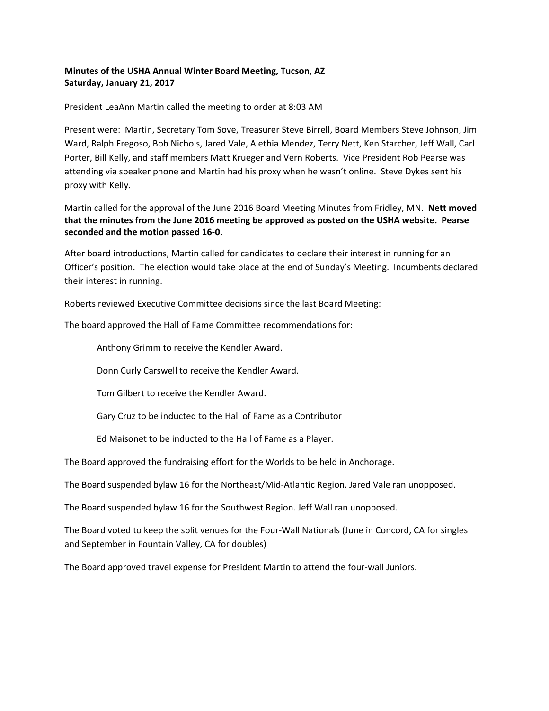## **Minutes of the USHA Annual Winter Board Meeting, Tucson, AZ Saturday, January 21, 2017**

President LeaAnn Martin called the meeting to order at 8:03 AM

Present were: Martin, Secretary Tom Sove, Treasurer Steve Birrell, Board Members Steve Johnson, Jim Ward, Ralph Fregoso, Bob Nichols, Jared Vale, Alethia Mendez, Terry Nett, Ken Starcher, Jeff Wall, Carl Porter, Bill Kelly, and staff members Matt Krueger and Vern Roberts. Vice President Rob Pearse was attending via speaker phone and Martin had his proxy when he wasn't online. Steve Dykes sent his proxy with Kelly.

Martin called for the approval of the June 2016 Board Meeting Minutes from Fridley, MN. **Nett moved that the minutes from the June 2016 meeting be approved as posted on the USHA website. Pearse seconded and the motion passed 16‐0.** 

After board introductions, Martin called for candidates to declare their interest in running for an Officer's position. The election would take place at the end of Sunday's Meeting. Incumbents declared their interest in running.

Roberts reviewed Executive Committee decisions since the last Board Meeting:

The board approved the Hall of Fame Committee recommendations for:

Anthony Grimm to receive the Kendler Award.

Donn Curly Carswell to receive the Kendler Award.

Tom Gilbert to receive the Kendler Award.

Gary Cruz to be inducted to the Hall of Fame as a Contributor

Ed Maisonet to be inducted to the Hall of Fame as a Player.

The Board approved the fundraising effort for the Worlds to be held in Anchorage.

The Board suspended bylaw 16 for the Northeast/Mid‐Atlantic Region. Jared Vale ran unopposed.

The Board suspended bylaw 16 for the Southwest Region. Jeff Wall ran unopposed.

The Board voted to keep the split venues for the Four‐Wall Nationals (June in Concord, CA for singles and September in Fountain Valley, CA for doubles)

The Board approved travel expense for President Martin to attend the four‐wall Juniors.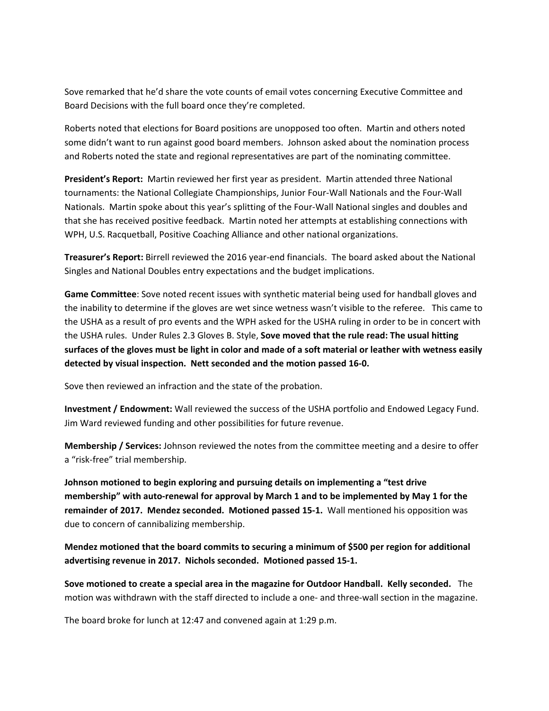Sove remarked that he'd share the vote counts of email votes concerning Executive Committee and Board Decisions with the full board once they're completed.

Roberts noted that elections for Board positions are unopposed too often. Martin and others noted some didn't want to run against good board members. Johnson asked about the nomination process and Roberts noted the state and regional representatives are part of the nominating committee.

**President's Report:** Martin reviewed her first year as president. Martin attended three National tournaments: the National Collegiate Championships, Junior Four‐Wall Nationals and the Four‐Wall Nationals. Martin spoke about this year's splitting of the Four‐Wall National singles and doubles and that she has received positive feedback. Martin noted her attempts at establishing connections with WPH, U.S. Racquetball, Positive Coaching Alliance and other national organizations.

**Treasurer's Report:** Birrell reviewed the 2016 year‐end financials. The board asked about the National Singles and National Doubles entry expectations and the budget implications.

**Game Committee**: Sove noted recent issues with synthetic material being used for handball gloves and the inability to determine if the gloves are wet since wetness wasn't visible to the referee. This came to the USHA as a result of pro events and the WPH asked for the USHA ruling in order to be in concert with the USHA rules. Under Rules 2.3 Gloves B. Style, **Sove moved that the rule read: The usual hitting surfaces of the gloves must be light in color and made of a soft material or leather with wetness easily detected by visual inspection. Nett seconded and the motion passed 16‐0.**

Sove then reviewed an infraction and the state of the probation.

**Investment / Endowment:** Wall reviewed the success of the USHA portfolio and Endowed Legacy Fund. Jim Ward reviewed funding and other possibilities for future revenue.

**Membership / Services:** Johnson reviewed the notes from the committee meeting and a desire to offer a "risk‐free" trial membership.

**Johnson motioned to begin exploring and pursuing details on implementing a "test drive membership" with auto‐renewal for approval by March 1 and to be implemented by May 1 for the**  remainder of 2017. Mendez seconded. Motioned passed 15-1. Wall mentioned his opposition was due to concern of cannibalizing membership.

**Mendez motioned that the board commits to securing a minimum of \$500 per region for additional advertising revenue in 2017. Nichols seconded. Motioned passed 15‐1.**

**Sove motioned to create a special area in the magazine for Outdoor Handball. Kelly seconded.** The motion was withdrawn with the staff directed to include a one- and three-wall section in the magazine.

The board broke for lunch at 12:47 and convened again at 1:29 p.m.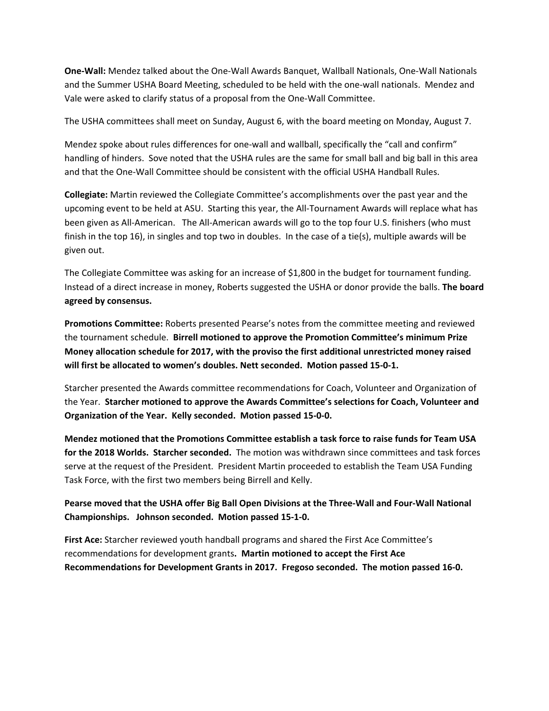**One‐Wall:** Mendez talked about the One‐Wall Awards Banquet, Wallball Nationals, One‐Wall Nationals and the Summer USHA Board Meeting, scheduled to be held with the one‐wall nationals. Mendez and Vale were asked to clarify status of a proposal from the One‐Wall Committee.

The USHA committees shall meet on Sunday, August 6, with the board meeting on Monday, August 7.

Mendez spoke about rules differences for one-wall and wallball, specifically the "call and confirm" handling of hinders. Sove noted that the USHA rules are the same for small ball and big ball in this area and that the One‐Wall Committee should be consistent with the official USHA Handball Rules.

**Collegiate:** Martin reviewed the Collegiate Committee's accomplishments over the past year and the upcoming event to be held at ASU. Starting this year, the All‐Tournament Awards will replace what has been given as All-American. The All-American awards will go to the top four U.S. finishers (who must finish in the top 16), in singles and top two in doubles. In the case of a tie(s), multiple awards will be given out.

The Collegiate Committee was asking for an increase of \$1,800 in the budget for tournament funding. Instead of a direct increase in money, Roberts suggested the USHA or donor provide the balls. **The board agreed by consensus.** 

**Promotions Committee:** Roberts presented Pearse's notes from the committee meeting and reviewed the tournament schedule. **Birrell motioned to approve the Promotion Committee's minimum Prize Money allocation schedule for 2017, with the proviso the first additional unrestricted money raised will first be allocated to women's doubles. Nett seconded. Motion passed 15‐0‐1.** 

Starcher presented the Awards committee recommendations for Coach, Volunteer and Organization of the Year. **Starcher motioned to approve the Awards Committee's selections for Coach, Volunteer and Organization of the Year. Kelly seconded. Motion passed 15‐0‐0.** 

**Mendez motioned that the Promotions Committee establish a task force to raise funds for Team USA for the 2018 Worlds. Starcher seconded.** The motion was withdrawn since committees and task forces serve at the request of the President. President Martin proceeded to establish the Team USA Funding Task Force, with the first two members being Birrell and Kelly.

**Pearse moved that the USHA offer Big Ball Open Divisions at the Three‐Wall and Four‐Wall National Championships. Johnson seconded. Motion passed 15‐1‐0.** 

**First Ace:** Starcher reviewed youth handball programs and shared the First Ace Committee's recommendations for development grants**. Martin motioned to accept the First Ace Recommendations for Development Grants in 2017. Fregoso seconded. The motion passed 16‐0.**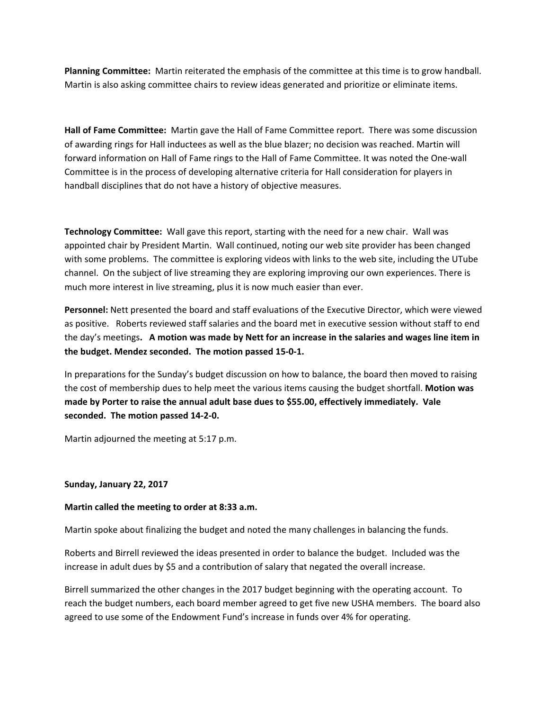**Planning Committee:** Martin reiterated the emphasis of the committee at this time is to grow handball. Martin is also asking committee chairs to review ideas generated and prioritize or eliminate items.

**Hall of Fame Committee:** Martin gave the Hall of Fame Committee report. There was some discussion of awarding rings for Hall inductees as well as the blue blazer; no decision was reached. Martin will forward information on Hall of Fame rings to the Hall of Fame Committee. It was noted the One‐wall Committee is in the process of developing alternative criteria for Hall consideration for players in handball disciplines that do not have a history of objective measures.

**Technology Committee:** Wall gave this report, starting with the need for a new chair. Wall was appointed chair by President Martin. Wall continued, noting our web site provider has been changed with some problems. The committee is exploring videos with links to the web site, including the UTube channel. On the subject of live streaming they are exploring improving our own experiences. There is much more interest in live streaming, plus it is now much easier than ever.

**Personnel:** Nett presented the board and staff evaluations of the Executive Director, which were viewed as positive. Roberts reviewed staff salaries and the board met in executive session without staff to end the day's meetings**. A motion was made by Nett for an increase in the salaries and wages line item in the budget. Mendez seconded. The motion passed 15‐0‐1.** 

In preparations for the Sunday's budget discussion on how to balance, the board then moved to raising the cost of membership dues to help meet the various items causing the budget shortfall. **Motion was made by Porter to raise the annual adult base dues to \$55.00, effectively immediately. Vale seconded. The motion passed 14‐2‐0.** 

Martin adjourned the meeting at 5:17 p.m.

## **Sunday, January 22, 2017**

#### **Martin called the meeting to order at 8:33 a.m.**

Martin spoke about finalizing the budget and noted the many challenges in balancing the funds.

Roberts and Birrell reviewed the ideas presented in order to balance the budget. Included was the increase in adult dues by \$5 and a contribution of salary that negated the overall increase.

Birrell summarized the other changes in the 2017 budget beginning with the operating account. To reach the budget numbers, each board member agreed to get five new USHA members. The board also agreed to use some of the Endowment Fund's increase in funds over 4% for operating.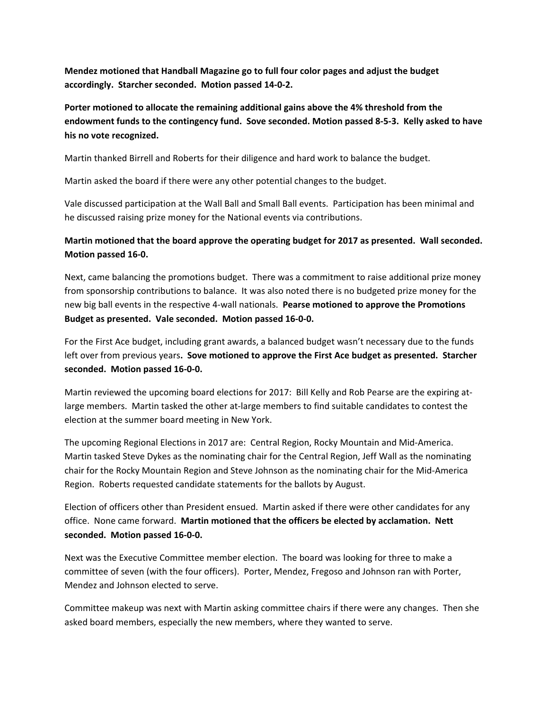**Mendez motioned that Handball Magazine go to full four color pages and adjust the budget accordingly. Starcher seconded. Motion passed 14‐0‐2.** 

**Porter motioned to allocate the remaining additional gains above the 4% threshold from the endowment funds to the contingency fund. Sove seconded. Motion passed 8‐5‐3. Kelly asked to have his no vote recognized.** 

Martin thanked Birrell and Roberts for their diligence and hard work to balance the budget.

Martin asked the board if there were any other potential changes to the budget.

Vale discussed participation at the Wall Ball and Small Ball events. Participation has been minimal and he discussed raising prize money for the National events via contributions.

# **Martin motioned that the board approve the operating budget for 2017 as presented. Wall seconded. Motion passed 16‐0.**

Next, came balancing the promotions budget. There was a commitment to raise additional prize money from sponsorship contributions to balance. It was also noted there is no budgeted prize money for the new big ball events in the respective 4‐wall nationals. **Pearse motioned to approve the Promotions Budget as presented. Vale seconded. Motion passed 16‐0‐0.** 

For the First Ace budget, including grant awards, a balanced budget wasn't necessary due to the funds left over from previous years**. Sove motioned to approve the First Ace budget as presented. Starcher seconded. Motion passed 16‐0‐0.** 

Martin reviewed the upcoming board elections for 2017: Bill Kelly and Rob Pearse are the expiring at‐ large members. Martin tasked the other at-large members to find suitable candidates to contest the election at the summer board meeting in New York.

The upcoming Regional Elections in 2017 are: Central Region, Rocky Mountain and Mid‐America. Martin tasked Steve Dykes as the nominating chair for the Central Region, Jeff Wall as the nominating chair for the Rocky Mountain Region and Steve Johnson as the nominating chair for the Mid‐America Region. Roberts requested candidate statements for the ballots by August.

Election of officers other than President ensued. Martin asked if there were other candidates for any office. None came forward. **Martin motioned that the officers be elected by acclamation. Nett seconded. Motion passed 16‐0‐0.** 

Next was the Executive Committee member election. The board was looking for three to make a committee of seven (with the four officers). Porter, Mendez, Fregoso and Johnson ran with Porter, Mendez and Johnson elected to serve.

Committee makeup was next with Martin asking committee chairs if there were any changes. Then she asked board members, especially the new members, where they wanted to serve.